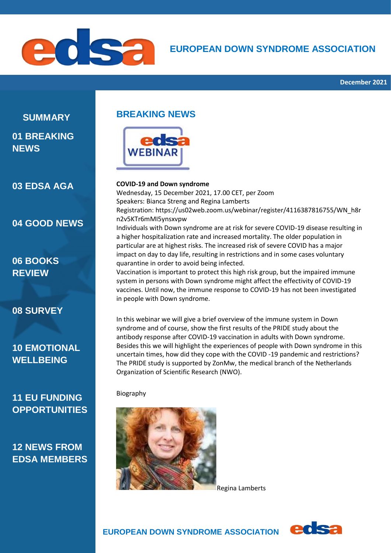

### **EUROPEAN DOWN SYNDROME ASSOCIATION**

# **SUMMARY**

### **01 BREAKING NEWS**

**03 EDSA AGA**

#### **04 GOOD NEWS**

### **06 BOOKS REVIEW**

#### **08 SURVEY**

### **10 EMOTIONAL WELLBEING**

### **11 EU FUNDING OPPORTUNITIES**

### **12 NEWS FROM EDSA MEMBERS**

### **BREAKING NEWS**



#### **COVID-19 and Down syndrome**

Wednesday, 15 December 2021, 17.00 CET, per Zoom Speakers: Bianca Streng and Regina Lamberts Registration: [https://us02web.zoom.us/webinar/register/4116387816755/WN\\_h8r](https://us02web.zoom.us/webinar/register/4116387816755/WN_h8rn2v5KTr6mMI5ynsxvpw) [n2v5KTr6mMI5ynsxvpw](https://us02web.zoom.us/webinar/register/4116387816755/WN_h8rn2v5KTr6mMI5ynsxvpw) Individuals with Down syndrome are at risk for severe COVID-19 disease resulting in a higher hospitalization rate and increased mortality. The older population in particular are at highest risks. The increased risk of severe COVID has a major impact on day to day life, resulting in restrictions and in some cases voluntary quarantine in order to avoid being infected. Vaccination is important to protect this high risk group, but the impaired immune system in persons with Down syndrome might affect the effectivity of COVID-19

vaccines. Until now, the immune response to COVID-19 has not been investigated in people with Down syndrome. In this webinar we will give a brief overview of the immune system in Down syndrome and of course, show the first results of the PRIDE study about the

antibody response after COVID-19 vaccination in adults with Down syndrome. Besides this we will highlight the experiences of people with Down syndrome in this uncertain times, how did they cope with the COVID -19 pandemic and restrictions? The PRIDE study is supported by ZonMw, the medical branch of the Netherlands Organization of Scientific Research (NWO).

#### Biography



Regina Lamberts



 **EUROPEAN DOWN SYNDROME ASSOCIATION**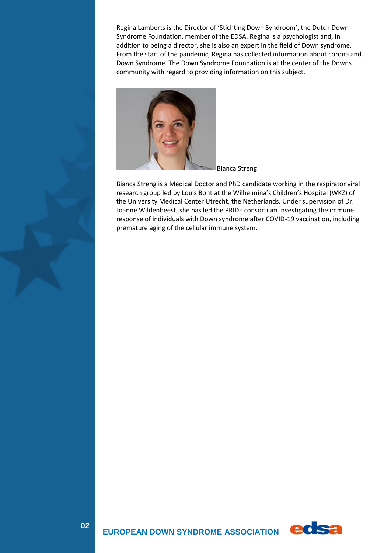Regina Lamberts is the Director of 'Stichting Down Syndroom', the Dutch Down Syndrome Foundation, member of the EDSA. Regina is a psychologist and, in addition to being a director, she is also an expert in the field of Down syndrome. From the start of the pandemic, Regina has collected information about corona and Down Syndrome. The Down Syndrome Foundation is at the center of the Downs community with regard to providing information on this subject.



Bianca Streng

Bianca Streng is a Medical Doctor and PhD candidate working in the respirator viral research group led by Louis Bont at the Wilhelmina's Children's Hospital (WKZ) of the University Medical Center Utrecht, the Netherlands. Under supervision of Dr. Joanne Wildenbeest, she has led the PRIDE consortium investigating the immune response of individuals with Down syndrome after COVID-19 vaccination, including premature aging of the cellular immune system.

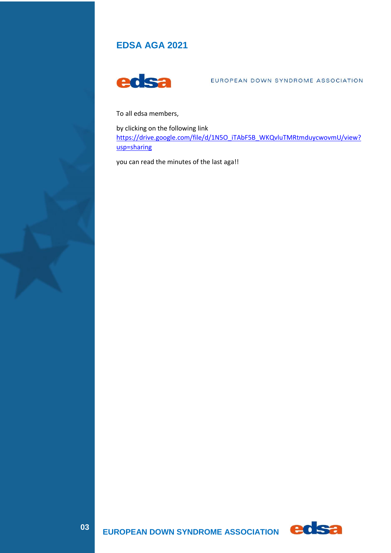### **EDSA AGA 2021**



EUROPEAN DOWN SYNDROME ASSOCIATION

To all edsa members,

by clicking on the following link [https://drive.google.com/file/d/1N5O\\_iTAbF5B\\_WKQvluTMRtmduycwovmU/view?](https://drive.google.com/file/d/1N5O_iTAbF5B_WKQvluTMRtmduycwovmU/view?usp=sharing) [usp=sharing](https://drive.google.com/file/d/1N5O_iTAbF5B_WKQvluTMRtmduycwovmU/view?usp=sharing)

you can read the minutes of the last aga!!

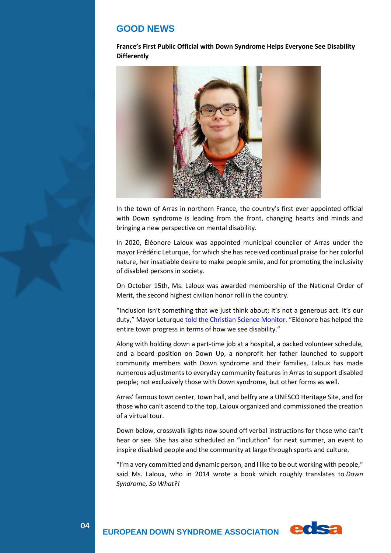#### **GOOD NEWS**

**France's First Public Official with Down Syndrome Helps Everyone See Disability Differently**



In the town of Arras in northern France, the country's first ever appointed official with Down syndrome is leading from the front, changing hearts and minds and bringing a new perspective on mental disability.

In 2020, Éléonore Laloux was appointed municipal councilor of Arras under the mayor Frédéric Leturque, for which she has received continual praise for her colorful nature, her insatiable desire to make people smile, and for promoting the inclusivity of disabled persons in society.

On October 15th, Ms. Laloux was awarded membership of the National Order of Merit, the second highest civilian honor roll in the country.

"Inclusion isn't something that we just think about; it's not a generous act. It's our duty," Mayor Leturque [told the Christian Science Monitor.](https://www.csmonitor.com/World/Europe/2021/1015/Eleonore-Laloux-helps-France-see-disability-differently?cmpid=ema:mkt:20211021&src=highlight) "Eléonore has helped the entire town progress in terms of how we see disability."

Along with holding down a part-time job at a hospital, a packed volunteer schedule, and a board position on Down Up, a nonprofit her father launched to support community members with Down syndrome and their families, Laloux has made numerous adjustments to everyday community features in Arras to support disabled people; not exclusively those with Down syndrome, but other forms as well.

Arras' famous town center, town hall, and belfry are a UNESCO Heritage Site, and for those who can't ascend to the top, Laloux organized and commissioned the creation of a virtual tour.

Down below, crosswalk lights now sound off verbal instructions for those who can't hear or see. She has also scheduled an "incluthon" for next summer, an event to inspire disabled people and the community at large through sports and culture.

"I'm a very committed and dynamic person, and I like to be out working with people," said Ms. Laloux, who in 2014 wrote a book which roughly translates to *Down Syndrome, So What?!*

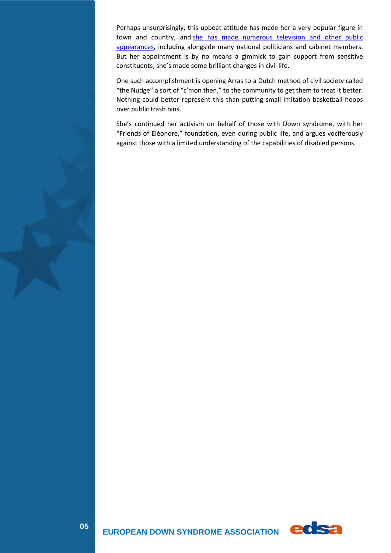Perhaps unsurprisingly, this upbeat attitude has made her a very popular figure in town and country, and she has made numerous television and other public [appearances,](https://fr.wikipedia.org/wiki/%C3%89l%C3%A9onore_Laloux#cite_note-:0-25) including alongside many national politicians and cabinet members. But her appointment is by no means a gimmick to gain support from sensitive constituents; she's made some brilliant changes in civil life.

One such accomplishment is opening Arras to a Dutch method of civil society called "the Nudge" a sort of "c'mon then," to the community to get them to treat it better. Nothing could better represent this than putting small imitation basketball hoops over public trash bins.

She's continued her activism on behalf of those with Down syndrome, with her "Friends of Eléonore," foundation, even during public life, and argues vociferously against those with a limited understanding of the capabilities of disabled persons.

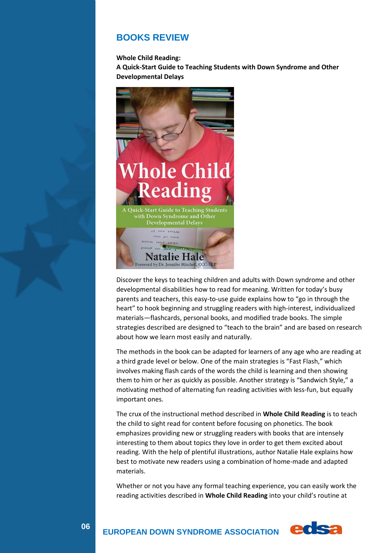#### **BOOKS REVIEW**

**Whole Child Reading:**

**A Quick-Start Guide to Teaching Students with Down Syndrome and Other Developmental Delays**



Discover the keys to teaching children and adults with Down syndrome and other developmental disabilities how to read for meaning. Written for today's busy parents and teachers, this easy-to-use guide explains how to "go in through the heart" to hook beginning and struggling readers with high-interest, individualized materials—flashcards, personal books, and modified trade books. The simple strategies described are designed to "teach to the brain" and are based on research about how we learn most easily and naturally.

The methods in the book can be adapted for learners of any age who are reading at a third grade level or below. One of the main strategies is "Fast Flash," which involves making flash cards of the words the child is learning and then showing them to him or her as quickly as possible. Another strategy is "Sandwich Style," a motivating method of alternating fun reading activities with less-fun, but equally important ones.

The crux of the instructional method described in **Whole Child Reading** is to teach the child to sight read for content before focusing on phonetics. The book emphasizes providing new or struggling readers with books that are intensely interesting to them about topics they love in order to get them excited about reading. With the help of plentiful illustrations, author Natalie Hale explains how best to motivate new readers using a combination of home-made and adapted materials.

Whether or not you have any formal teaching experience, you can easily work the reading activities described in **Whole Child Reading** into your child's routine at



 **EUROPEAN DOWN SYNDROME ASSOCIATION**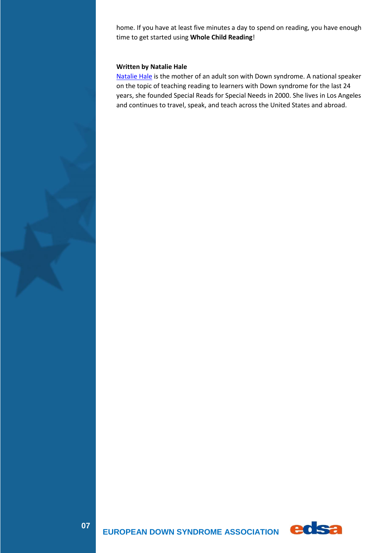home. If you have at least five minutes a day to spend on reading, you have enough time to get started using **Whole Child Reading**!

#### **Written by Natalie Hale**

[Natalie Hale](http://www.specialreads.com/) is the mother of an adult son with Down syndrome. A national speaker on the topic of teaching reading to learners with Down syndrome for the last 24 years, she founded Special Reads for Special Needs in 2000. She lives in Los Angeles and continues to travel, speak, and teach across the United States and abroad.

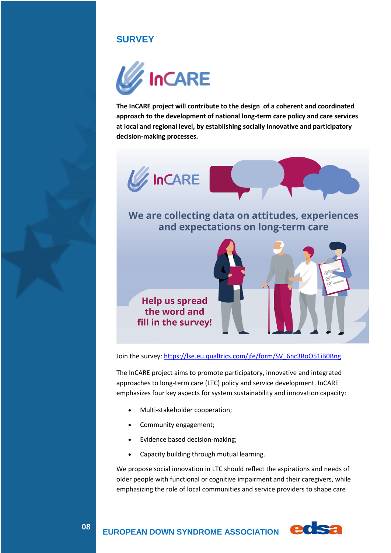### **SURVEY**



**The InCARE project will contribute to the design of a coherent and coordinated approach to the development of national long-term care policy and care services at local and regional level, by establishing socially innovative and participatory decision-making processes.**



We are collecting data on attitudes, experiences and expectations on long-term care



Join the survey[: https://lse.eu.qualtrics.com/jfe/form/SV\\_6nc3RoO51iB0Bng](https://lse.eu.qualtrics.com/jfe/form/SV_6nc3RoO51iB0Bng)

The InCARE project aims to promote participatory, innovative and integrated approaches to long-term care (LTC) policy and service development. InCARE emphasizes four key aspects for system sustainability and innovation capacity:

- Multi-stakeholder cooperation;
- Community engagement;
- Evidence based decision-making;
- Capacity building through mutual learning.

We propose social innovation in LTC should reflect the aspirations and needs of older people with functional or cognitive impairment and their caregivers, while emphasizing the role of local communities and service providers to shape care



 **EUROPEAN DOWN SYNDROME ASSOCIATION**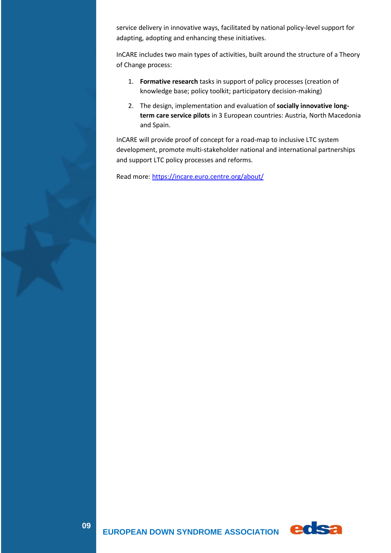service delivery in innovative ways, facilitated by national policy-level support for adapting, adopting and enhancing these initiatives.

InCARE includes two main types of activities, built around the structure of a Theory of Change process:

- 1. **Formative research** tasks in support of policy processes (creation of knowledge base; policy toolkit; participatory decision-making)
- 2. The design, implementation and evaluation of **socially innovative longterm care service pilots** in 3 European countries: Austria, North Macedonia and Spain.

InCARE will provide proof of concept for a road-map to inclusive LTC system development, promote multi-stakeholder national and international partnerships and support LTC policy processes and reforms.

Read more[: https://incare.euro.centre.org/about/](https://incare.euro.centre.org/about/)

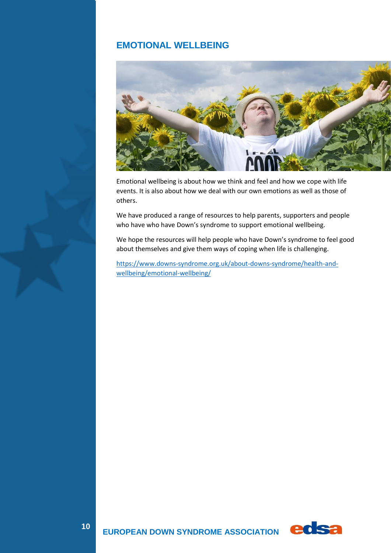### **EMOTIONAL WELLBEING**



Emotional wellbeing is about how we think and feel and how we cope with life events. It is also about how we deal with our own emotions as well as those of others.

We have produced a range of resources to help parents, supporters and people who have who have Down's syndrome to support emotional wellbeing.

We hope the resources will help people who have Down's syndrome to feel good about themselves and give them ways of coping when life is challenging.

[https://www.downs-syndrome.org.uk/about-downs-syndrome/health-and](https://www.downs-syndrome.org.uk/about-downs-syndrome/health-and-wellbeing/emotional-wellbeing/)[wellbeing/emotional-wellbeing/](https://www.downs-syndrome.org.uk/about-downs-syndrome/health-and-wellbeing/emotional-wellbeing/)



**0140**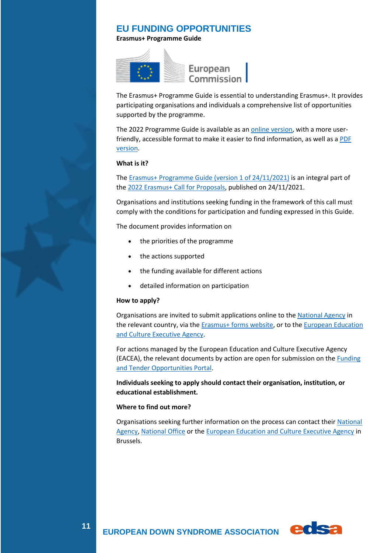#### **EU FUNDING OPPORTUNITIES**

**Erasmus+ Programme Guide**



The Erasmus+ Programme Guide is essential to understanding Erasmus+. It provides participating organisations and individuals a comprehensive list of opportunities supported by the programme.

The 2022 Programme Guide is available as an [online version,](https://erasmus-plus.ec.europa.eu/programme-guide/introduction) with a more userfriendly, accessible format to make it easier to find information, as well as a PDF [version.](https://erasmus-plus.ec.europa.eu/document/erasmus-programme-guide-2022)

#### **What is it?**

The [Erasmus+ Programme Guide \(version 1 of 24/11/2021\)](https://erasmus-plus.ec.europa.eu/sites/default/files/2021-11/2022-erasmusplus-programme-guide.pdf) is an integral part of the [2022 Erasmus+ Call for Proposals,](https://eur-lex.europa.eu/legal-content/EN/TXT/?uri=OJ%3AJOC_2021_473_R_0009&qid=1637738792217) published on 24/11/2021.

Organisations and institutions seeking funding in the framework of this call must comply with the conditions for participation and funding expressed in this Guide.

The document provides information on

- the priorities of the programme
- the actions supported
- the funding available for different actions
- detailed information on participation

#### **How to apply?**

Organisations are invited to submit applications online to the [National Agency](https://erasmus-plus.ec.europa.eu/national-agencies) in the relevant country, via the **Erasmus+** forms website, or to the **European Education** [and Culture Executive Agency.](https://www.eacea.ec.europa.eu/grants/how-get-grant_en)

For actions managed by the European Education and Culture Executive Agency (EACEA), the relevant documents by action are open for submission on the [Funding](https://ec.europa.eu/info/funding-tenders/opportunities/portal/screen/home)  [and Tender Opportunities Portal.](https://ec.europa.eu/info/funding-tenders/opportunities/portal/screen/home)

**Individuals seeking to apply should contact their organisation, institution, or educational establishment.**

#### **Where to find out more?**

Organisations seeking further information on the process can contact their [National](https://erasmus-plus.ec.europa.eu/national-agencies)  [Agency,](https://erasmus-plus.ec.europa.eu/national-agencies) [National Office](https://erasmus-plus.ec.europa.eu/national-erasmus-offices) or the European Education and [Culture Executive Agency](https://www.eacea.ec.europa.eu/contacts/erasmus_en) in Brussels.

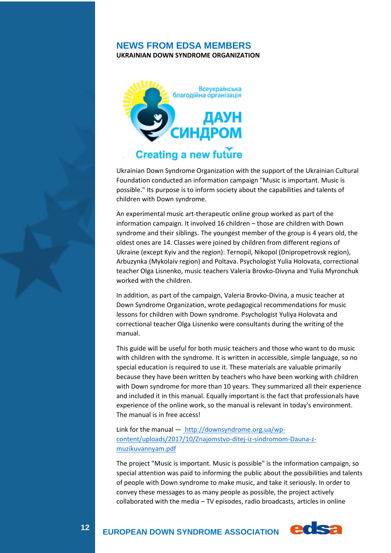#### **NEWS FROM EDSA MEMBERS**

**UKRAINIAN DOWN SYNDROME ORGANIZATION**



## **Creating a new future**

Ukrainian Down Syndrome Organization with the support of the Ukrainian Cultural Foundation conducted an information campaign "Music is important. Music is possible." Its purpose is to inform society about the capabilities and talents of children with Down syndrome.

An experimental music art-therapeutic online group worked as part of the information campaign. It involved 16 children – those are children with Down syndrome and their siblings. The youngest member of the group is 4 years old, the oldest ones are 14. Classes were joined by children from different regions of Ukraine (except Kyiv and the region): Ternopil, Nikopol (Dnipropetrovsk region), Arbuzynka (Mykolaiv region) and Poltava. Psychologist Yulia Holovata, correctional teacher Olga Lisnenko, music teachers Valeria Brovko-Divyna and Yulia Myronchuk worked with the children.

In addition, as part of the campaign, Valeria Brovko-Divina, a music teacher at Down Syndrome Organization, wrote pedagogical recommendations for music lessons for children with Down syndrome. Psychologist Yuliya Holovata and correctional teacher Olga Lisnenko were consultants during the writing of the manual.

This guide will be useful for both music teachers and those who want to do music with children with the syndrome. It is written in accessible, simple language, so no special education is required to use it. These materials are valuable primarily because they have been written by teachers who have been working with children with Down syndrome for more than 10 years. They summarized all their experience and included it in this manual. Equally important is the fact that professionals have experience of the online work, so the manual is relevant in today's environment. The manual is in free access!

Link for the manual — [http://downsyndrome.org.ua/wp](http://downsyndrome.org.ua/wp-content/uploads/2017/10/Znajomstvo-ditej-iz-sindromom-Dauna-z-muzikuvannyam.pdf)[content/uploads/2017/10/Znajomstvo-ditej-iz-sindromom-Dauna-z](http://downsyndrome.org.ua/wp-content/uploads/2017/10/Znajomstvo-ditej-iz-sindromom-Dauna-z-muzikuvannyam.pdf)[muzikuvannyam.pdf](http://downsyndrome.org.ua/wp-content/uploads/2017/10/Znajomstvo-ditej-iz-sindromom-Dauna-z-muzikuvannyam.pdf)

The project "Music is important. Music is possible" is the information campaign, so special attention was paid to informing the public about the possibilities and talents of people with Down syndrome to make music, and take it seriously. In order to convey these messages to as many people as possible, the project actively collaborated with the media – TV episodes, radio broadcasts, articles in online

**12**

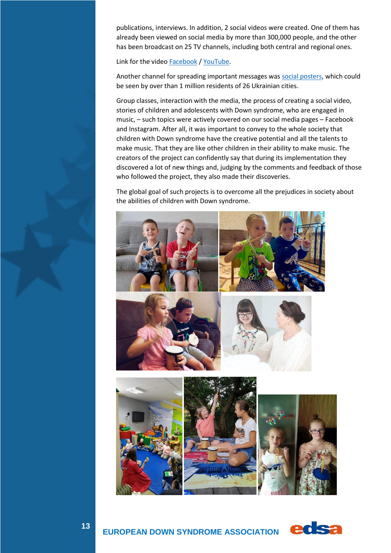publications, interviews. In addition, 2 social videos were created. One of them has already been viewed on social media by more than 300,000 people, and the other has been broadcast on 25 TV channels, including both central and regional ones.

Link for the vide[o Facebook](https://www.facebook.com/downsyndrome.org.ua/videos/543761253371767) [/ YouTube.](https://youtu.be/80ktlG-Bq_8)

Another channel for spreading important messages was [social posters,](https://drive.google.com/file/d/1Kubaf_s1Nx2h4ZN8_p4mmEnjtIXQy5VO/view?usp=sharing) which could be seen by over than 1 million residents of 26 Ukrainian cities.

Group classes, interaction with the media, the process of creating a social video, stories of children and adolescents with Down syndrome, who are engaged in music, – such topics were actively covered on our social media pages – Facebook and Instagram. After all, it was important to convey to the whole society that children with Down syndrome have the creative potential and all the talents to make music. That they are like other children in their ability to make music. The creators of the project can confidently say that during its implementation they discovered a lot of new things and, judging by the comments and feedback of those who followed the project, they also made their discoveries.

The global goal of such projects is to overcome all the prejudices in society about the abilities of children with Down syndrome.